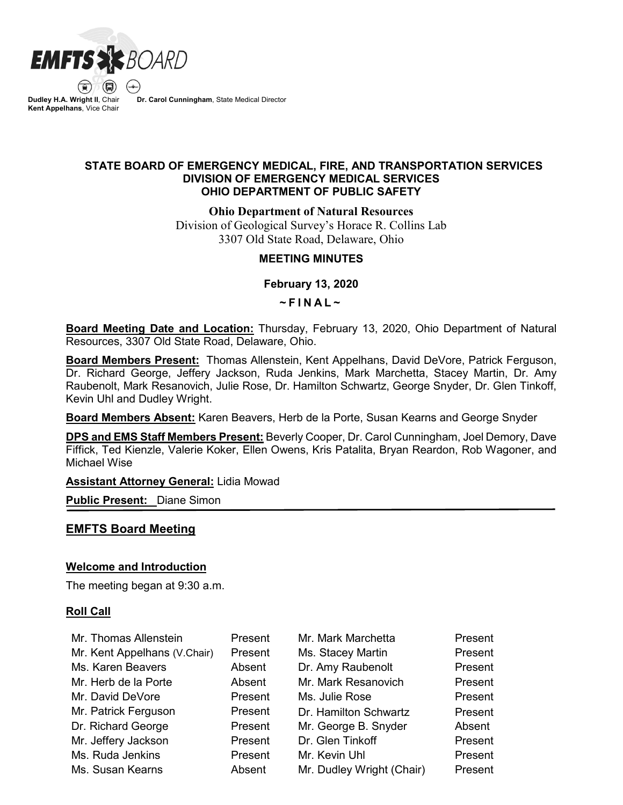

 $\textcircled{\tiny R}$ **Dudley H.A. Wright II**, Chair **Kent Appelhans**, Vice Chair

**Dr. Carol Cunningham**, State Medical Director

## **STATE BOARD OF EMERGENCY MEDICAL, FIRE, AND TRANSPORTATION SERVICES DIVISION OF EMERGENCY MEDICAL SERVICES OHIO DEPARTMENT OF PUBLIC SAFETY**

**Ohio Department of Natural Resources**

Division of Geological Survey's Horace R. Collins Lab 3307 Old State Road, Delaware, Ohio

## **MEETING MINUTES**

**February 13, 2020**

**~ FINAL ~**

**Board Meeting Date and Location:** Thursday, February 13, 2020, Ohio Department of Natural Resources, 3307 Old State Road, Delaware, Ohio.

**Board Members Present:** Thomas Allenstein, Kent Appelhans, David DeVore, Patrick Ferguson, Dr. Richard George, Jeffery Jackson, Ruda Jenkins, Mark Marchetta, Stacey Martin, Dr. Amy Raubenolt, Mark Resanovich, Julie Rose, Dr. Hamilton Schwartz, George Snyder, Dr. Glen Tinkoff, Kevin Uhl and Dudley Wright.

**Board Members Absent:** Karen Beavers, Herb de la Porte, Susan Kearns and George Snyder

**DPS and EMS Staff Members Present:** Beverly Cooper, Dr. Carol Cunningham, Joel Demory, Dave Fiffick, Ted Kienzle, Valerie Koker, Ellen Owens, Kris Patalita, Bryan Reardon, Rob Wagoner, and Michael Wise

**Assistant Attorney General:** Lidia Mowad

**Public Present:** Diane Simon

## **EMFTS Board Meeting**

## **Welcome and Introduction**

The meeting began at 9:30 a.m.

### **Roll Call**

| Mr. Thomas Allenstein        | Present | Mr. Mark Marchetta        | Present |
|------------------------------|---------|---------------------------|---------|
| Mr. Kent Appelhans (V.Chair) | Present | Ms. Stacey Martin         | Present |
| Ms. Karen Beavers            | Absent  | Dr. Amy Raubenolt         | Present |
| Mr. Herb de la Porte         | Absent  | Mr. Mark Resanovich       | Present |
| Mr. David DeVore             | Present | Ms. Julie Rose            | Present |
| Mr. Patrick Ferguson         | Present | Dr. Hamilton Schwartz     | Present |
| Dr. Richard George           | Present | Mr. George B. Snyder      | Absent  |
| Mr. Jeffery Jackson          | Present | Dr. Glen Tinkoff          | Present |
| Ms. Ruda Jenkins             | Present | Mr. Kevin Uhl             | Present |
| Ms. Susan Kearns             | Absent  | Mr. Dudley Wright (Chair) | Present |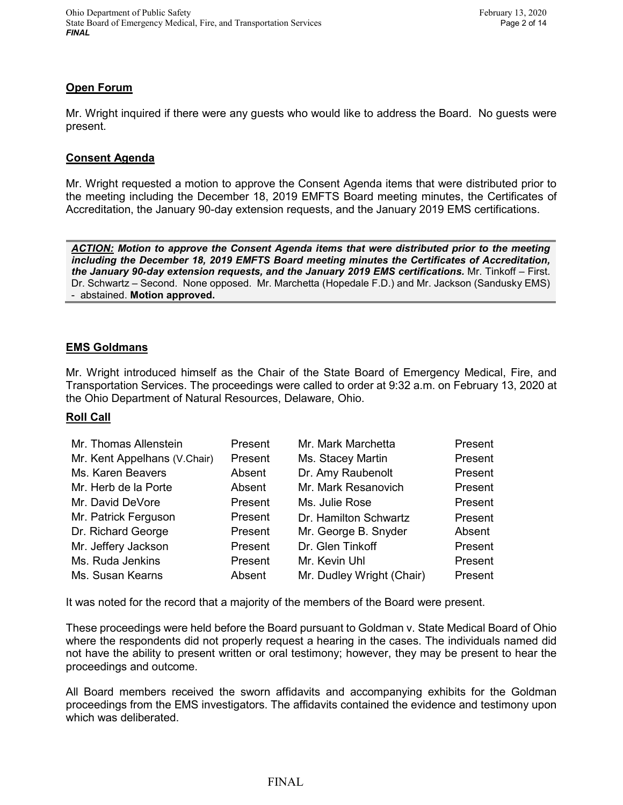# **Open Forum**

Mr. Wright inquired if there were any guests who would like to address the Board. No guests were present.

### **Consent Agenda**

Mr. Wright requested a motion to approve the Consent Agenda items that were distributed prior to the meeting including the December 18, 2019 EMFTS Board meeting minutes, the Certificates of Accreditation, the January 90-day extension requests, and the January 2019 EMS certifications.

*ACTION: Motion to approve the Consent Agenda items that were distributed prior to the meeting including the December 18, 2019 EMFTS Board meeting minutes the Certificates of Accreditation, the January 90-day extension requests, and the January 2019 EMS certifications.* Mr. Tinkoff – First. Dr. Schwartz – Second. None opposed. Mr. Marchetta (Hopedale F.D.) and Mr. Jackson (Sandusky EMS) - abstained. **Motion approved.**

## **EMS Goldmans**

Mr. Wright introduced himself as the Chair of the State Board of Emergency Medical, Fire, and Transportation Services. The proceedings were called to order at 9:32 a.m. on February 13, 2020 at the Ohio Department of Natural Resources, Delaware, Ohio.

## **Roll Call**

| Mr. Thomas Allenstein        | Present | Mr. Mark Marchetta        | Present |
|------------------------------|---------|---------------------------|---------|
| Mr. Kent Appelhans (V.Chair) | Present | Ms. Stacey Martin         | Present |
| Ms. Karen Beavers            | Absent  | Dr. Amy Raubenolt         | Present |
| Mr. Herb de la Porte         | Absent  | Mr. Mark Resanovich       | Present |
| Mr. David DeVore             | Present | Ms. Julie Rose            | Present |
| Mr. Patrick Ferguson         | Present | Dr. Hamilton Schwartz     | Present |
| Dr. Richard George           | Present | Mr. George B. Snyder      | Absent  |
| Mr. Jeffery Jackson          | Present | Dr. Glen Tinkoff          | Present |
| Ms. Ruda Jenkins             | Present | Mr. Kevin Uhl             | Present |
| Ms. Susan Kearns             | Absent  | Mr. Dudley Wright (Chair) | Present |

It was noted for the record that a majority of the members of the Board were present.

These proceedings were held before the Board pursuant to Goldman v. State Medical Board of Ohio where the respondents did not properly request a hearing in the cases. The individuals named did not have the ability to present written or oral testimony; however, they may be present to hear the proceedings and outcome.

All Board members received the sworn affidavits and accompanying exhibits for the Goldman proceedings from the EMS investigators. The affidavits contained the evidence and testimony upon which was deliberated.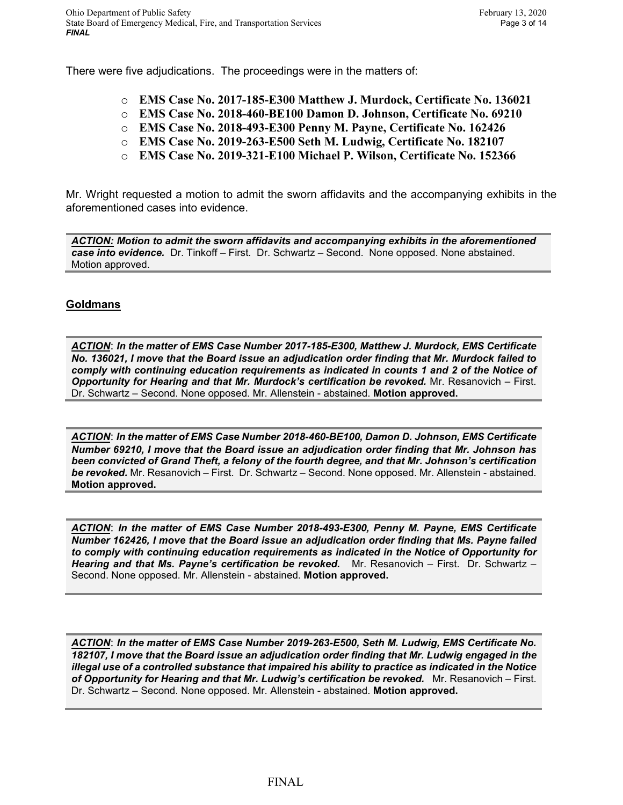There were five adjudications. The proceedings were in the matters of:

- o **EMS Case No. 2017-185-E300 Matthew J. Murdock, Certificate No. 136021**
- o **EMS Case No. 2018-460-BE100 Damon D. Johnson, Certificate No. 69210**
- o **EMS Case No. 2018-493-E300 Penny M. Payne, Certificate No. 162426**
- o **EMS Case No. 2019-263-E500 Seth M. Ludwig, Certificate No. 182107**
- o **EMS Case No. 2019-321-E100 Michael P. Wilson, Certificate No. 152366**

Mr. Wright requested a motion to admit the sworn affidavits and the accompanying exhibits in the aforementioned cases into evidence.

*ACTION: Motion to admit the sworn affidavits and accompanying exhibits in the aforementioned case into evidence.* Dr. Tinkoff – First. Dr. Schwartz – Second. None opposed. None abstained. Motion approved.

## **Goldmans**

*ACTION*: *In the matter of EMS Case Number 2017-185-E300, Matthew J. Murdock, EMS Certificate No. 136021, I move that the Board issue an adjudication order finding that Mr. Murdock failed to comply with continuing education requirements as indicated in counts 1 and 2 of the Notice of Opportunity for Hearing and that Mr. Murdock's certification be revoked.* Mr. Resanovich – First. Dr. Schwartz – Second. None opposed. Mr. Allenstein - abstained. **Motion approved.**

*ACTION*: *In the matter of EMS Case Number 2018-460-BE100, Damon D. Johnson, EMS Certificate Number 69210, I move that the Board issue an adjudication order finding that Mr. Johnson has been convicted of Grand Theft, a felony of the fourth degree, and that Mr. Johnson's certification be revoked.* Mr. Resanovich – First. Dr. Schwartz – Second. None opposed. Mr. Allenstein - abstained. **Motion approved.**

*ACTION*: *In the matter of EMS Case Number 2018-493-E300, Penny M. Payne, EMS Certificate Number 162426, I move that the Board issue an adjudication order finding that Ms. Payne failed to comply with continuing education requirements as indicated in the Notice of Opportunity for Hearing and that Ms. Payne's certification be revoked.* Mr. Resanovich – First. Dr. Schwartz – Second. None opposed. Mr. Allenstein - abstained. **Motion approved.**

*ACTION*: *In the matter of EMS Case Number 2019-263-E500, Seth M. Ludwig, EMS Certificate No. 182107, I move that the Board issue an adjudication order finding that Mr. Ludwig engaged in the illegal use of a controlled substance that impaired his ability to practice as indicated in the Notice of Opportunity for Hearing and that Mr. Ludwig's certification be revoked.* Mr. Resanovich – First. Dr. Schwartz – Second. None opposed. Mr. Allenstein - abstained. **Motion approved.**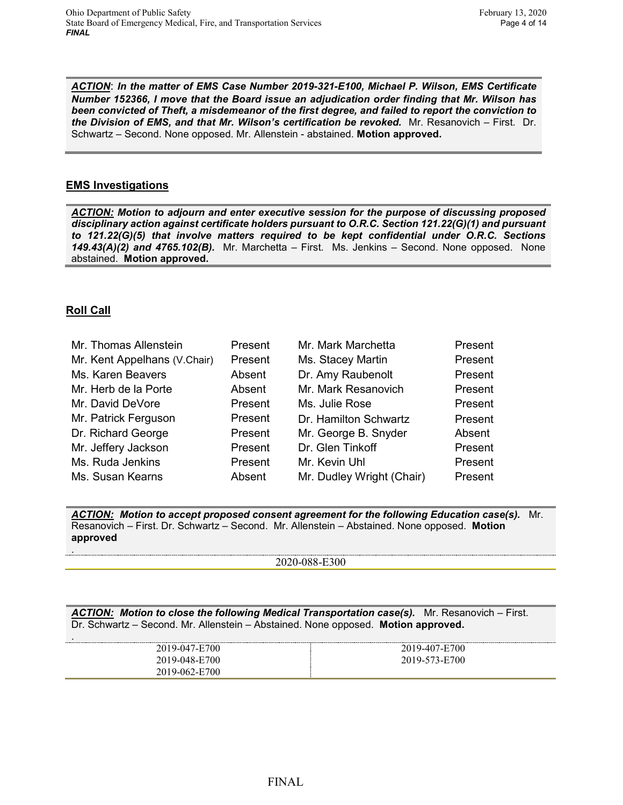*ACTION*: *In the matter of EMS Case Number 2019-321-E100, Michael P. Wilson, EMS Certificate Number 152366, I move that the Board issue an adjudication order finding that Mr. Wilson has been convicted of Theft, a misdemeanor of the first degree, and failed to report the conviction to the Division of EMS, and that Mr. Wilson's certification be revoked.* Mr. Resanovich – First. Dr. Schwartz – Second. None opposed. Mr. Allenstein - abstained. **Motion approved.**

## **EMS Investigations**

*ACTION: Motion to adjourn and enter executive session for the purpose of discussing proposed disciplinary action against certificate holders pursuant to O.R.C. Section 121.22(G)(1) and pursuant to 121.22(G)(5) that involve matters required to be kept confidential under O.R.C. Sections 149.43(A)(2) and 4765.102(B).* Mr. Marchetta – First. Ms. Jenkins – Second. None opposed. None abstained. **Motion approved.**

# **Roll Call**

| Mr. Thomas Allenstein        | Present | Mr. Mark Marchetta        | Present |
|------------------------------|---------|---------------------------|---------|
| Mr. Kent Appelhans (V.Chair) | Present | Ms. Stacey Martin         | Present |
| Ms. Karen Beavers            | Absent  | Dr. Amy Raubenolt         | Present |
| Mr. Herb de la Porte         | Absent  | Mr. Mark Resanovich       | Present |
| Mr. David DeVore             | Present | Ms. Julie Rose            | Present |
| Mr. Patrick Ferguson         | Present | Dr. Hamilton Schwartz     | Present |
| Dr. Richard George           | Present | Mr. George B. Snyder      | Absent  |
| Mr. Jeffery Jackson          | Present | Dr. Glen Tinkoff          | Present |
| Ms. Ruda Jenkins             | Present | Mr. Kevin Uhl             | Present |
| Ms. Susan Kearns             | Absent  | Mr. Dudley Wright (Chair) | Present |

*ACTION: Motion to accept proposed consent agreement for the following Education case(s).* Mr. Resanovich – First. Dr. Schwartz – Second. Mr. Allenstein – Abstained. None opposed. **Motion approved** .

2020-088-E300

*ACTION: Motion to close the following Medical Transportation case(s).* Mr. Resanovich – First. Dr. Schwartz – Second. Mr. Allenstein – Abstained. None opposed. **Motion approved.**

| 2019-047-E700 | 19-407-E700   |
|---------------|---------------|
| 2019-048-E700 | 2019-573-E700 |
| 2019-062-E700 |               |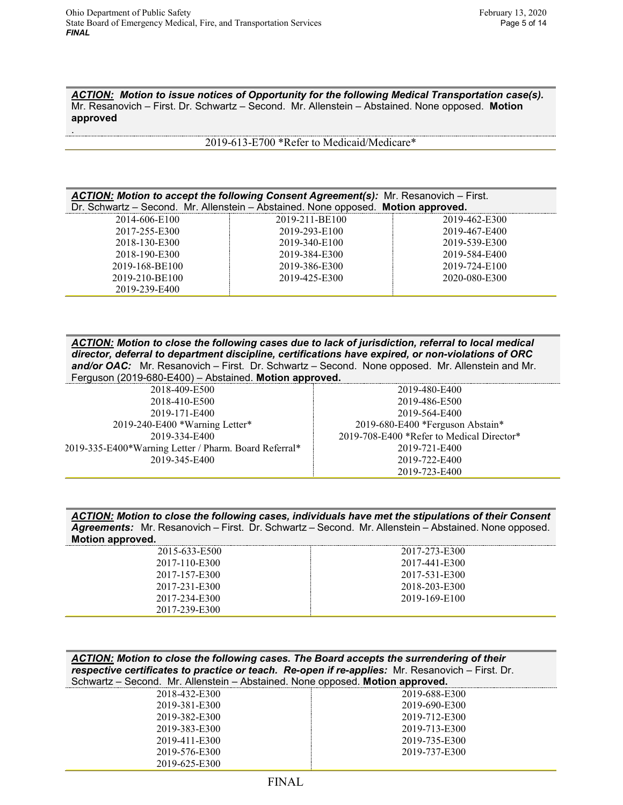.

*ACTION: Motion to issue notices of Opportunity for the following Medical Transportation case(s).*  Mr. Resanovich – First. Dr. Schwartz – Second. Mr. Allenstein – Abstained. None opposed. **Motion approved**

2019-613-E700 \*Refer to Medicaid/Medicare\*

| ACTION: Motion to accept the following Consent Agreement(s): Mr. Resanovich – First. |          |                                                                    |
|--------------------------------------------------------------------------------------|----------|--------------------------------------------------------------------|
| Dr. Schwartz - Second. Mr. Allenstein - Abstained. None opposed. Motion approved.    |          |                                                                    |
|                                                                                      | $\cdots$ | $\begin{array}{c} \bullet \circ \bullet \circ \bullet \end{array}$ |

| 2014-606-E100  | 2019-211-BE100 | 2019-462-E300 |
|----------------|----------------|---------------|
| 2017-255-E300  | 2019-293-E100  | 2019-467-E400 |
| 2018-130-E300  | 2019-340-E100  | 2019-539-E300 |
| 2018-190-E300  | 2019-384-E300  | 2019-584-E400 |
| 2019-168-BE100 | 2019-386-E300  | 2019-724-E100 |
| 2019-210-BE100 | 2019-425-E300  | 2020-080-E300 |
| 2019-239-E400  |                |               |

| ACTION: Motion to close the following cases due to lack of jurisdiction, referral to local medical<br>director, deferral to department discipline, certifications have expired, or non-violations of ORC<br>and/or OAC: Mr. Resanovich - First. Dr. Schwartz - Second. None opposed. Mr. Allenstein and Mr.<br>Ferguson (2019-680-E400) - Abstained. Motion approved. |                                           |
|-----------------------------------------------------------------------------------------------------------------------------------------------------------------------------------------------------------------------------------------------------------------------------------------------------------------------------------------------------------------------|-------------------------------------------|
| 2018-409-E500                                                                                                                                                                                                                                                                                                                                                         | 2019-480-E400                             |
| 2018-410-E500                                                                                                                                                                                                                                                                                                                                                         | 2019-486-E500                             |
| 2019-171-E400                                                                                                                                                                                                                                                                                                                                                         | 2019-564-E400                             |
| 2019-240-E400 *Warning Letter*                                                                                                                                                                                                                                                                                                                                        | 2019-680-E400 *Ferguson Abstain*          |
| 2019-334-E400                                                                                                                                                                                                                                                                                                                                                         | 2019-708-E400 *Refer to Medical Director* |
| 2019-335-E400*Warning Letter / Pharm. Board Referral*                                                                                                                                                                                                                                                                                                                 | 2019-721-E400                             |
| 2019-345-E400                                                                                                                                                                                                                                                                                                                                                         | 2019-722-E400                             |
|                                                                                                                                                                                                                                                                                                                                                                       | 2019-723-E400                             |
|                                                                                                                                                                                                                                                                                                                                                                       |                                           |

| ACTION: Motion to close the following cases, individuals have met the stipulations of their Consent         |  |
|-------------------------------------------------------------------------------------------------------------|--|
| <b>Agreements:</b> Mr. Resanovich – First. Dr. Schwartz – Second. Mr. Allenstein – Abstained. None opposed. |  |
| Motion approved.                                                                                            |  |

| 2015-633-E500 | 2017-273-E300 |
|---------------|---------------|
| 2017-110-E300 | 2017-441-E300 |
| 2017-157-E300 | 2017-531-E300 |
| 2017-231-E300 | 2018-203-E300 |
| 2017-234-E300 | 2019-169-E100 |
| 2017-239-E300 |               |
|               |               |

| ACTION: Motion to close the following cases. The Board accepts the surrendering of their         |               |
|--------------------------------------------------------------------------------------------------|---------------|
| respective certificates to practice or teach. Re-open if re-applies: Mr. Resanovich – First. Dr. |               |
| Schwartz – Second. Mr. Allenstein – Abstained. None opposed. Motion approved.                    |               |
| 2018-432-E300                                                                                    | 2019-688-E300 |
| 2019-381-E300                                                                                    | 2019-690-E300 |

| 2019-381-E300 | 2019-690-E300 |
|---------------|---------------|
| 2019-382-E300 | 2019-712-E300 |
| 2019-383-E300 | 2019-713-E300 |
| 2019-411-E300 | 2019-735-E300 |
| 2019-576-E300 | 2019-737-E300 |
| 2019-625-E300 |               |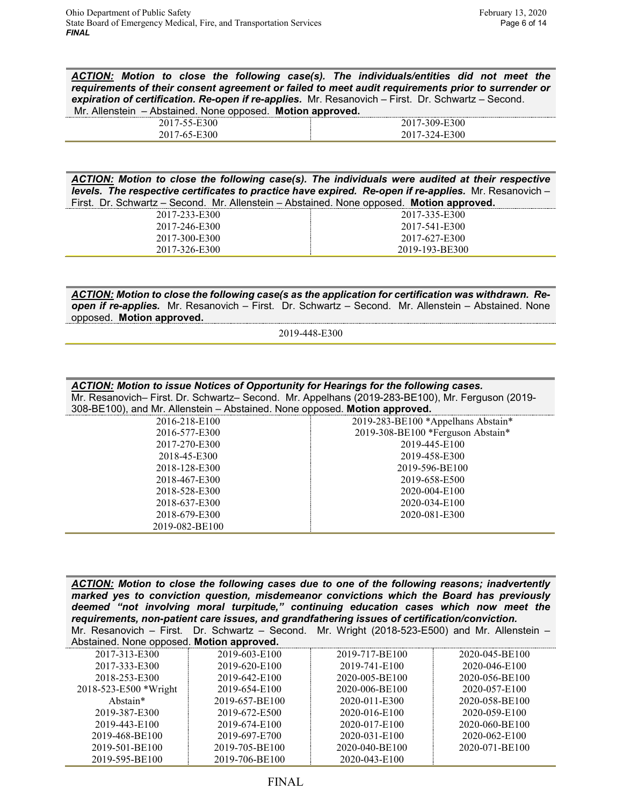*ACTION: Motion to close the following case(s). The individuals/entities did not meet the requirements of their consent agreement or failed to meet audit requirements prior to surrender or expiration of certification. Re-open if re-applies.* Mr. Resanovich – First. Dr. Schwartz – Second. Mr. Allenstein – Abstained. None opposed. **Motion approved.**

| $\sim$ | -- |
|--------|----|
|        |    |

*ACTION: Motion to close the following case(s). The individuals were audited at their respective levels. The respective certificates to practice have expired. Re-open if re-applies. Mr. Resanovich –* First. Dr. Schwartz – Second. Mr. Allenstein – Abstained. None opposed. **Motion approved.**

| 2017-233-E300 | 2017-335-E300  |
|---------------|----------------|
| 2017-246-E300 | 2017-541-E300  |
| 2017-300-E300 | 2017-627-E300  |
| 2017-326-E300 | 2019-193-BE300 |

*ACTION: Motion to close the following case(s as the application for certification was withdrawn. Reopen if re-applies.* Mr. Resanovich – First. Dr. Schwartz – Second. Mr. Allenstein – Abstained. None opposed. **Motion approved.**

2019-448-E300

| ACTION: Motion to issue Notices of Opportunity for Hearings for the following cases.             |                                    |  |  |  |
|--------------------------------------------------------------------------------------------------|------------------------------------|--|--|--|
| Mr. Resanovich- First. Dr. Schwartz- Second. Mr. Appelhans (2019-283-BE100), Mr. Ferguson (2019- |                                    |  |  |  |
| 308-BE100), and Mr. Allenstein - Abstained. None opposed. Motion approved.                       |                                    |  |  |  |
| 2016-218-E100                                                                                    | 2019-283-BE100 *Appelhans Abstain* |  |  |  |
| 2016-577-E300                                                                                    | 2019-308-BE100 *Ferguson Abstain*  |  |  |  |
| 2017-270-E300                                                                                    | 2019-445-E100                      |  |  |  |
| 2018-45-E300                                                                                     | 2019-458-E300                      |  |  |  |
| 2018-128-E300                                                                                    | 2019-596-BE100                     |  |  |  |
| 2018-467-E300                                                                                    | 2019-658-E500                      |  |  |  |
| 2018-528-E300                                                                                    | 2020-004-E100                      |  |  |  |
| 2018-637-E300                                                                                    | 2020-034-E100                      |  |  |  |
| 2018-679-E300                                                                                    | 2020-081-E300                      |  |  |  |
| 2019-082-BE100                                                                                   |                                    |  |  |  |

*ACTION: Motion to close the following cases due to one of the following reasons; inadvertently marked yes to conviction question, misdemeanor convictions which the Board has previously deemed "not involving moral turpitude," continuing education cases which now meet the requirements, non-patient care issues, and grandfathering issues of certification/conviction.* Mr. Resanovich – First. Dr. Schwartz – Second. Mr. Wright (2018-523-E500) and Mr. Allenstein – Abstained. None opposed. **Motion approved.**

| Abstairied. Norie opposed. Motion approved. |                |                |                |  |
|---------------------------------------------|----------------|----------------|----------------|--|
| 2017-313-E300                               | 2019-603-E100  | 2019-717-BE100 | 2020-045-BE100 |  |
| 2017-333-E300                               | 2019-620-E100  | 2019-741-E100  | 2020-046-E100  |  |
| 2018-253-E300                               | 2019-642-E100  | 2020-005-BE100 | 2020-056-BE100 |  |
| 2018-523-E500 *Wright                       | 2019-654-E100  | 2020-006-BE100 | 2020-057-E100  |  |
| Abstain*                                    | 2019-657-BE100 | 2020-011-E300  | 2020-058-BE100 |  |
| 2019-387-E300                               | 2019-672-E500  | 2020-016-E100  | 2020-059-E100  |  |
| 2019-443-E100                               | 2019-674-E100  | 2020-017-E100  | 2020-060-BE100 |  |
| 2019-468-BE100                              | 2019-697-E700  | 2020-031-E100  | 2020-062-E100  |  |
| 2019-501-BE100                              | 2019-705-BE100 | 2020-040-BE100 | 2020-071-BE100 |  |
| 2019-595-BE100                              | 2019-706-BE100 | 2020-043-E100  |                |  |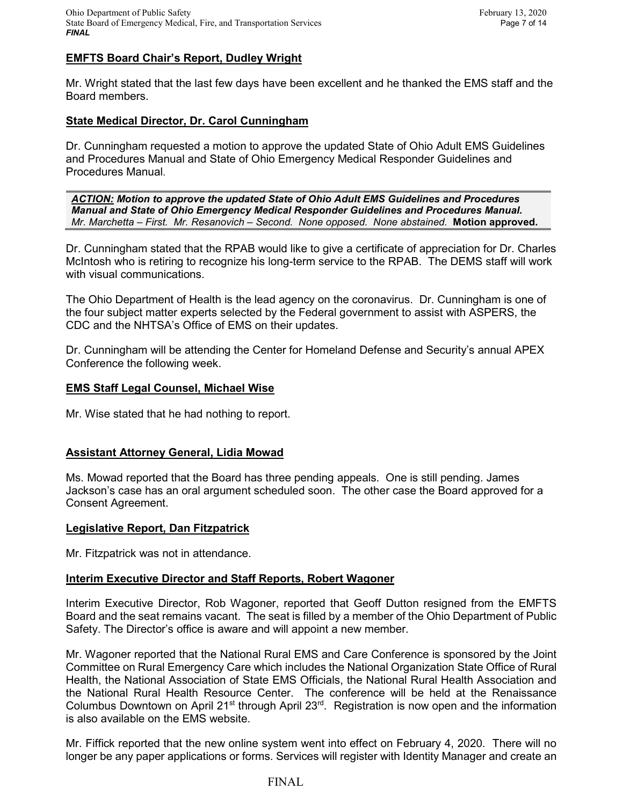# **EMFTS Board Chair's Report, Dudley Wright**

Mr. Wright stated that the last few days have been excellent and he thanked the EMS staff and the Board members.

## **State Medical Director, Dr. Carol Cunningham**

Dr. Cunningham requested a motion to approve the updated State of Ohio Adult EMS Guidelines and Procedures Manual and State of Ohio Emergency Medical Responder Guidelines and Procedures Manual.

*ACTION: Motion to approve the updated State of Ohio Adult EMS Guidelines and Procedures Manual and State of Ohio Emergency Medical Responder Guidelines and Procedures Manual. Mr. Marchetta – First. Mr. Resanovich – Second. None opposed. None abstained.* **Motion approved.** 

Dr. Cunningham stated that the RPAB would like to give a certificate of appreciation for Dr. Charles McIntosh who is retiring to recognize his long-term service to the RPAB. The DEMS staff will work with visual communications.

The Ohio Department of Health is the lead agency on the coronavirus. Dr. Cunningham is one of the four subject matter experts selected by the Federal government to assist with ASPERS, the CDC and the NHTSA's Office of EMS on their updates.

Dr. Cunningham will be attending the Center for Homeland Defense and Security's annual APEX Conference the following week.

### **EMS Staff Legal Counsel, Michael Wise**

Mr. Wise stated that he had nothing to report.

### **Assistant Attorney General, Lidia Mowad**

Ms. Mowad reported that the Board has three pending appeals. One is still pending. James Jackson's case has an oral argument scheduled soon. The other case the Board approved for a Consent Agreement.

### **Legislative Report, Dan Fitzpatrick**

Mr. Fitzpatrick was not in attendance.

### **Interim Executive Director and Staff Reports, Robert Wagoner**

Interim Executive Director, Rob Wagoner, reported that Geoff Dutton resigned from the EMFTS Board and the seat remains vacant. The seat is filled by a member of the Ohio Department of Public Safety. The Director's office is aware and will appoint a new member.

Mr. Wagoner reported that the National Rural EMS and Care Conference is sponsored by the Joint Committee on Rural Emergency Care which includes the National Organization State Office of Rural Health, the National Association of State EMS Officials, the National Rural Health Association and the National Rural Health Resource Center. The conference will be held at the Renaissance Columbus Downtown on April 21<sup>st</sup> through April 23<sup>rd</sup>. Registration is now open and the information is also available on the EMS website.

Mr. Fiffick reported that the new online system went into effect on February 4, 2020. There will no longer be any paper applications or forms. Services will register with Identity Manager and create an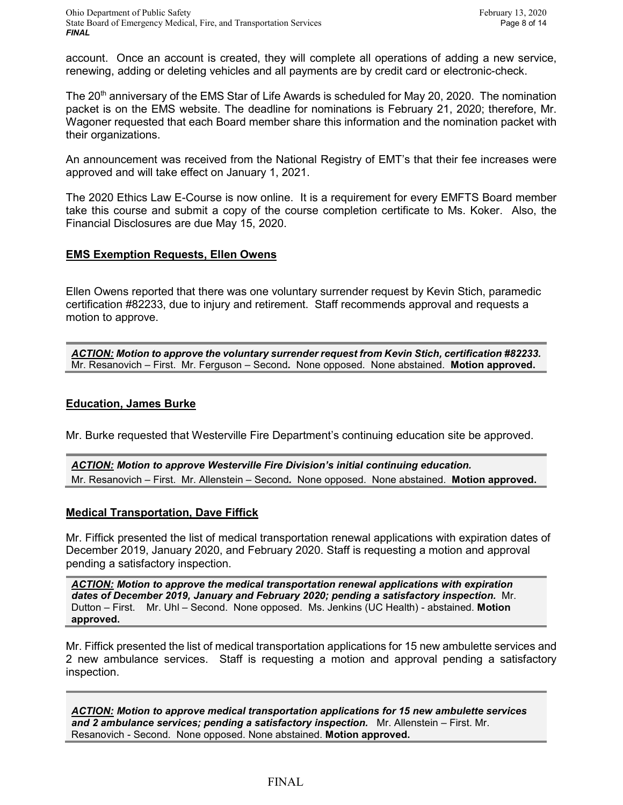account. Once an account is created, they will complete all operations of adding a new service, renewing, adding or deleting vehicles and all payments are by credit card or electronic-check.

The 20<sup>th</sup> anniversary of the EMS Star of Life Awards is scheduled for May 20, 2020. The nomination packet is on the EMS website. The deadline for nominations is February 21, 2020; therefore, Mr. Wagoner requested that each Board member share this information and the nomination packet with their organizations.

An announcement was received from the National Registry of EMT's that their fee increases were approved and will take effect on January 1, 2021.

The 2020 Ethics Law E-Course is now online. It is a requirement for every EMFTS Board member take this course and submit a copy of the course completion certificate to Ms. Koker. Also, the Financial Disclosures are due May 15, 2020.

## **EMS Exemption Requests, Ellen Owens**

Ellen Owens reported that there was one voluntary surrender request by Kevin Stich, paramedic certification #82233, due to injury and retirement. Staff recommends approval and requests a motion to approve.

*ACTION: Motion to approve the voluntary surrender request from Kevin Stich, certification #82233.*  Mr. Resanovich – First. Mr. Ferguson – Second*.* None opposed. None abstained. **Motion approved.**

### **Education, James Burke**

Mr. Burke requested that Westerville Fire Department's continuing education site be approved.

*ACTION: Motion to approve Westerville Fire Division's initial continuing education.*  Mr. Resanovich – First. Mr. Allenstein – Second*.* None opposed. None abstained. **Motion approved.**

### **Medical Transportation, Dave Fiffick**

Mr. Fiffick presented the list of medical transportation renewal applications with expiration dates of December 2019, January 2020, and February 2020. Staff is requesting a motion and approval pending a satisfactory inspection.

*ACTION: Motion to approve the medical transportation renewal applications with expiration dates of December 2019, January and February 2020; pending a satisfactory inspection.* Mr. Dutton – First. Mr. Uhl – Second. None opposed. Ms. Jenkins (UC Health) - abstained. **Motion approved.**

Mr. Fiffick presented the list of medical transportation applications for 15 new ambulette services and 2 new ambulance services. Staff is requesting a motion and approval pending a satisfactory inspection.

*ACTION: Motion to approve medical transportation applications for 15 new ambulette services and 2 ambulance services; pending a satisfactory inspection.* Mr. Allenstein – First. Mr. Resanovich - Second. None opposed. None abstained. **Motion approved.**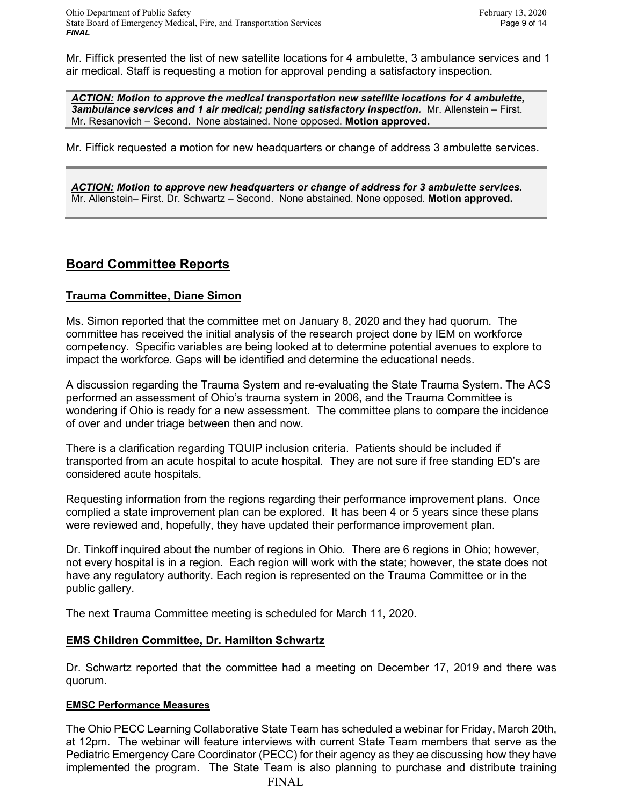Mr. Fiffick presented the list of new satellite locations for 4 ambulette, 3 ambulance services and 1 air medical. Staff is requesting a motion for approval pending a satisfactory inspection.

*ACTION: Motion to approve the medical transportation new satellite locations for 4 ambulette, 3ambulance services and 1 air medical; pending satisfactory inspection.* Mr. Allenstein – First. Mr. Resanovich – Second. None abstained. None opposed. **Motion approved.**

Mr. Fiffick requested a motion for new headquarters or change of address 3 ambulette services.

*ACTION: Motion to approve new headquarters or change of address for 3 ambulette services.* Mr. Allenstein– First. Dr. Schwartz – Second. None abstained. None opposed. **Motion approved.**

# **Board Committee Reports**

# **Trauma Committee, Diane Simon**

Ms. Simon reported that the committee met on January 8, 2020 and they had quorum. The committee has received the initial analysis of the research project done by IEM on workforce competency. Specific variables are being looked at to determine potential avenues to explore to impact the workforce. Gaps will be identified and determine the educational needs.

A discussion regarding the Trauma System and re-evaluating the State Trauma System. The ACS performed an assessment of Ohio's trauma system in 2006, and the Trauma Committee is wondering if Ohio is ready for a new assessment. The committee plans to compare the incidence of over and under triage between then and now.

There is a clarification regarding TQUIP inclusion criteria. Patients should be included if transported from an acute hospital to acute hospital. They are not sure if free standing ED's are considered acute hospitals.

Requesting information from the regions regarding their performance improvement plans. Once complied a state improvement plan can be explored. It has been 4 or 5 years since these plans were reviewed and, hopefully, they have updated their performance improvement plan.

Dr. Tinkoff inquired about the number of regions in Ohio. There are 6 regions in Ohio; however, not every hospital is in a region. Each region will work with the state; however, the state does not have any regulatory authority. Each region is represented on the Trauma Committee or in the public gallery.

The next Trauma Committee meeting is scheduled for March 11, 2020.

## **EMS Children Committee, Dr. Hamilton Schwartz**

Dr. Schwartz reported that the committee had a meeting on December 17, 2019 and there was quorum.

## **EMSC Performance Measures**

FINAL The Ohio PECC Learning Collaborative State Team has scheduled a webinar for Friday, March 20th, at 12pm. The webinar will feature interviews with current State Team members that serve as the Pediatric Emergency Care Coordinator (PECC) for their agency as they ae discussing how they have implemented the program. The State Team is also planning to purchase and distribute training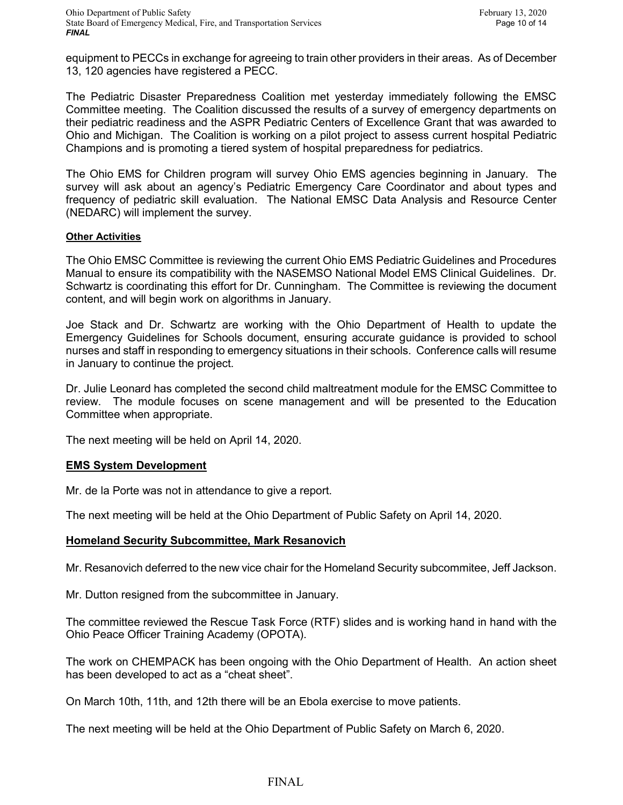equipment to PECCs in exchange for agreeing to train other providers in their areas. As of December 13, 120 agencies have registered a PECC.

The Pediatric Disaster Preparedness Coalition met yesterday immediately following the EMSC Committee meeting. The Coalition discussed the results of a survey of emergency departments on their pediatric readiness and the ASPR Pediatric Centers of Excellence Grant that was awarded to Ohio and Michigan. The Coalition is working on a pilot project to assess current hospital Pediatric Champions and is promoting a tiered system of hospital preparedness for pediatrics.

The Ohio EMS for Children program will survey Ohio EMS agencies beginning in January. The survey will ask about an agency's Pediatric Emergency Care Coordinator and about types and frequency of pediatric skill evaluation. The National EMSC Data Analysis and Resource Center (NEDARC) will implement the survey.

### **Other Activities**

The Ohio EMSC Committee is reviewing the current Ohio EMS Pediatric Guidelines and Procedures Manual to ensure its compatibility with the NASEMSO National Model EMS Clinical Guidelines. Dr. Schwartz is coordinating this effort for Dr. Cunningham. The Committee is reviewing the document content, and will begin work on algorithms in January.

Joe Stack and Dr. Schwartz are working with the Ohio Department of Health to update the Emergency Guidelines for Schools document, ensuring accurate guidance is provided to school nurses and staff in responding to emergency situations in their schools. Conference calls will resume in January to continue the project.

Dr. Julie Leonard has completed the second child maltreatment module for the EMSC Committee to review. The module focuses on scene management and will be presented to the Education Committee when appropriate.

The next meeting will be held on April 14, 2020.

## **EMS System Development**

Mr. de la Porte was not in attendance to give a report.

The next meeting will be held at the Ohio Department of Public Safety on April 14, 2020.

### **Homeland Security Subcommittee, Mark Resanovich**

Mr. Resanovich deferred to the new vice chair for the Homeland Security subcommitee, Jeff Jackson.

Mr. Dutton resigned from the subcommittee in January.

The committee reviewed the Rescue Task Force (RTF) slides and is working hand in hand with the Ohio Peace Officer Training Academy (OPOTA).

The work on CHEMPACK has been ongoing with the Ohio Department of Health. An action sheet has been developed to act as a "cheat sheet".

On March 10th, 11th, and 12th there will be an Ebola exercise to move patients.

The next meeting will be held at the Ohio Department of Public Safety on March 6, 2020.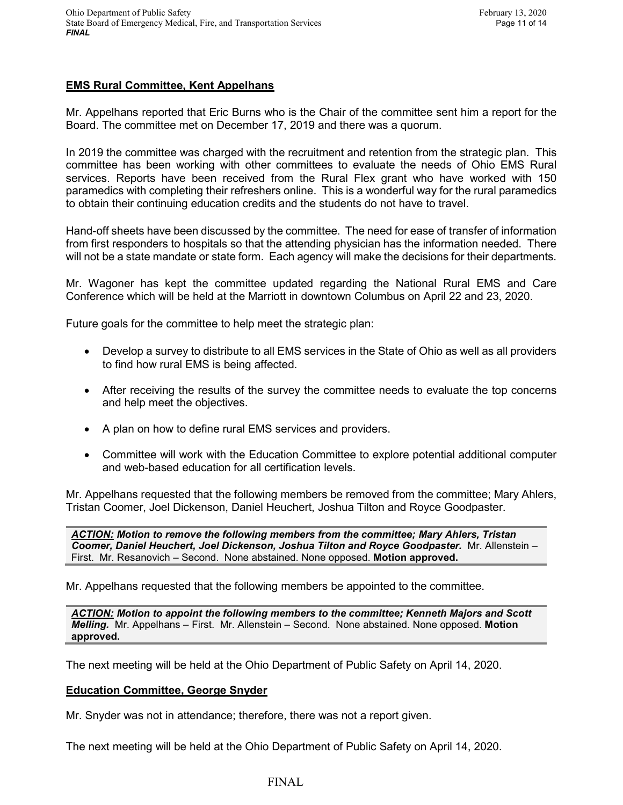# **EMS Rural Committee, Kent Appelhans**

Mr. Appelhans reported that Eric Burns who is the Chair of the committee sent him a report for the Board. The committee met on December 17, 2019 and there was a quorum.

In 2019 the committee was charged with the recruitment and retention from the strategic plan. This committee has been working with other committees to evaluate the needs of Ohio EMS Rural services. Reports have been received from the Rural Flex grant who have worked with 150 paramedics with completing their refreshers online. This is a wonderful way for the rural paramedics to obtain their continuing education credits and the students do not have to travel.

Hand-off sheets have been discussed by the committee. The need for ease of transfer of information from first responders to hospitals so that the attending physician has the information needed. There will not be a state mandate or state form. Each agency will make the decisions for their departments.

Mr. Wagoner has kept the committee updated regarding the National Rural EMS and Care Conference which will be held at the Marriott in downtown Columbus on April 22 and 23, 2020.

Future goals for the committee to help meet the strategic plan:

- Develop a survey to distribute to all EMS services in the State of Ohio as well as all providers to find how rural EMS is being affected.
- After receiving the results of the survey the committee needs to evaluate the top concerns and help meet the objectives.
- A plan on how to define rural EMS services and providers.
- Committee will work with the Education Committee to explore potential additional computer and web-based education for all certification levels.

Mr. Appelhans requested that the following members be removed from the committee; Mary Ahlers, Tristan Coomer, Joel Dickenson, Daniel Heuchert, Joshua Tilton and Royce Goodpaster.

*ACTION: Motion to remove the following members from the committee; Mary Ahlers, Tristan Coomer, Daniel Heuchert, Joel Dickenson, Joshua Tilton and Royce Goodpaster.* Mr. Allenstein – First. Mr. Resanovich – Second. None abstained. None opposed. **Motion approved.**

Mr. Appelhans requested that the following members be appointed to the committee.

*ACTION: Motion to appoint the following members to the committee; Kenneth Majors and Scott Melling.* Mr. Appelhans – First. Mr. Allenstein – Second. None abstained. None opposed. **Motion approved.**

The next meeting will be held at the Ohio Department of Public Safety on April 14, 2020.

## **Education Committee, George Snyder**

Mr. Snyder was not in attendance; therefore, there was not a report given.

The next meeting will be held at the Ohio Department of Public Safety on April 14, 2020.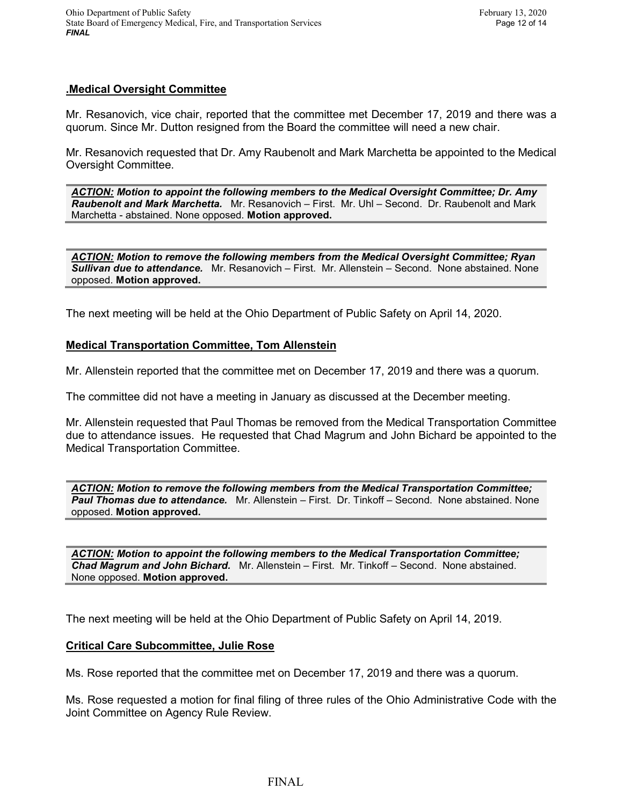## **.Medical Oversight Committee**

Mr. Resanovich, vice chair, reported that the committee met December 17, 2019 and there was a quorum. Since Mr. Dutton resigned from the Board the committee will need a new chair.

Mr. Resanovich requested that Dr. Amy Raubenolt and Mark Marchetta be appointed to the Medical Oversight Committee.

*ACTION: Motion to appoint the following members to the Medical Oversight Committee; Dr. Amy Raubenolt and Mark Marchetta.* Mr. Resanovich – First. Mr. Uhl – Second. Dr. Raubenolt and Mark Marchetta - abstained. None opposed. **Motion approved.**

*ACTION: Motion to remove the following members from the Medical Oversight Committee; Ryan Sullivan due to attendance.* Mr. Resanovich – First. Mr. Allenstein – Second. None abstained. None opposed. **Motion approved.**

The next meeting will be held at the Ohio Department of Public Safety on April 14, 2020.

### **Medical Transportation Committee, Tom Allenstein**

Mr. Allenstein reported that the committee met on December 17, 2019 and there was a quorum.

The committee did not have a meeting in January as discussed at the December meeting.

Mr. Allenstein requested that Paul Thomas be removed from the Medical Transportation Committee due to attendance issues. He requested that Chad Magrum and John Bichard be appointed to the Medical Transportation Committee.

*ACTION: Motion to remove the following members from the Medical Transportation Committee; Paul Thomas due to attendance.* Mr. Allenstein – First. Dr. Tinkoff – Second. None abstained. None opposed. **Motion approved.**

*ACTION: Motion to appoint the following members to the Medical Transportation Committee; Chad Magrum and John Bichard.* Mr. Allenstein – First. Mr. Tinkoff – Second. None abstained. None opposed. **Motion approved.**

The next meeting will be held at the Ohio Department of Public Safety on April 14, 2019.

### **Critical Care Subcommittee, Julie Rose**

Ms. Rose reported that the committee met on December 17, 2019 and there was a quorum.

Ms. Rose requested a motion for final filing of three rules of the Ohio Administrative Code with the Joint Committee on Agency Rule Review.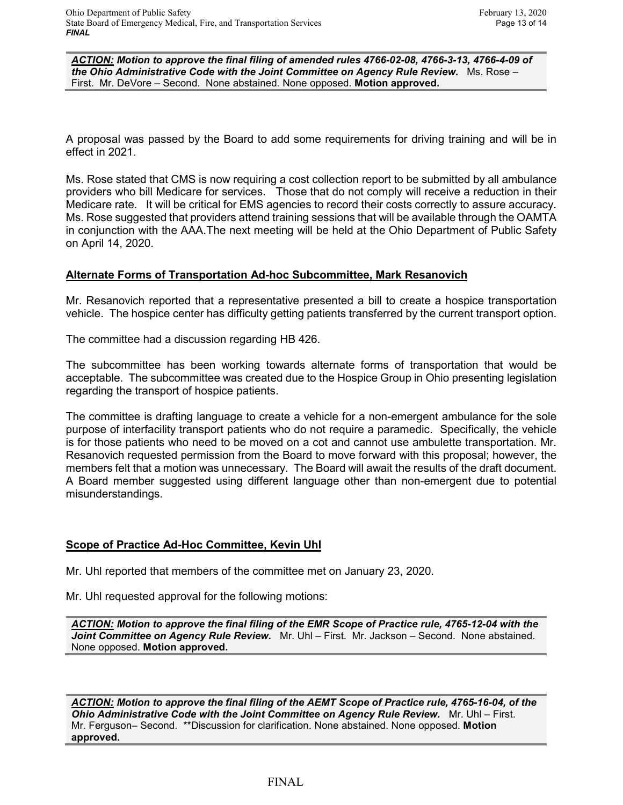*ACTION: Motion to approve the final filing of amended rules 4766-02-08, 4766-3-13, 4766-4-09 of the Ohio Administrative Code with the Joint Committee on Agency Rule Review.* Ms. Rose – First. Mr. DeVore – Second. None abstained. None opposed. **Motion approved.**

A proposal was passed by the Board to add some requirements for driving training and will be in effect in 2021.

Ms. Rose stated that CMS is now requiring a cost collection report to be submitted by all ambulance providers who bill Medicare for services. Those that do not comply will receive a reduction in their Medicare rate. It will be critical for EMS agencies to record their costs correctly to assure accuracy. Ms. Rose suggested that providers attend training sessions that will be available through the OAMTA in conjunction with the AAA.The next meeting will be held at the Ohio Department of Public Safety on April 14, 2020.

## **Alternate Forms of Transportation Ad-hoc Subcommittee, Mark Resanovich**

Mr. Resanovich reported that a representative presented a bill to create a hospice transportation vehicle. The hospice center has difficulty getting patients transferred by the current transport option.

The committee had a discussion regarding HB 426.

The subcommittee has been working towards alternate forms of transportation that would be acceptable. The subcommittee was created due to the Hospice Group in Ohio presenting legislation regarding the transport of hospice patients.

The committee is drafting language to create a vehicle for a non-emergent ambulance for the sole purpose of interfacility transport patients who do not require a paramedic. Specifically, the vehicle is for those patients who need to be moved on a cot and cannot use ambulette transportation. Mr. Resanovich requested permission from the Board to move forward with this proposal; however, the members felt that a motion was unnecessary. The Board will await the results of the draft document. A Board member suggested using different language other than non-emergent due to potential misunderstandings.

## **Scope of Practice Ad-Hoc Committee, Kevin Uhl**

Mr. Uhl reported that members of the committee met on January 23, 2020.

Mr. Uhl requested approval for the following motions:

*ACTION: Motion to approve the final filing of the EMR Scope of Practice rule, 4765-12-04 with the Joint Committee on Agency Rule Review.* Mr. Uhl – First. Mr. Jackson – Second. None abstained. None opposed. **Motion approved.**

*ACTION: Motion to approve the final filing of the AEMT Scope of Practice rule, 4765-16-04, of the*  **Ohio Administrative Code with the Joint Committee on Agency Rule Review.** Mr. Uhl – First. Mr. Ferguson– Second. \*\*Discussion for clarification. None abstained. None opposed. **Motion approved.**